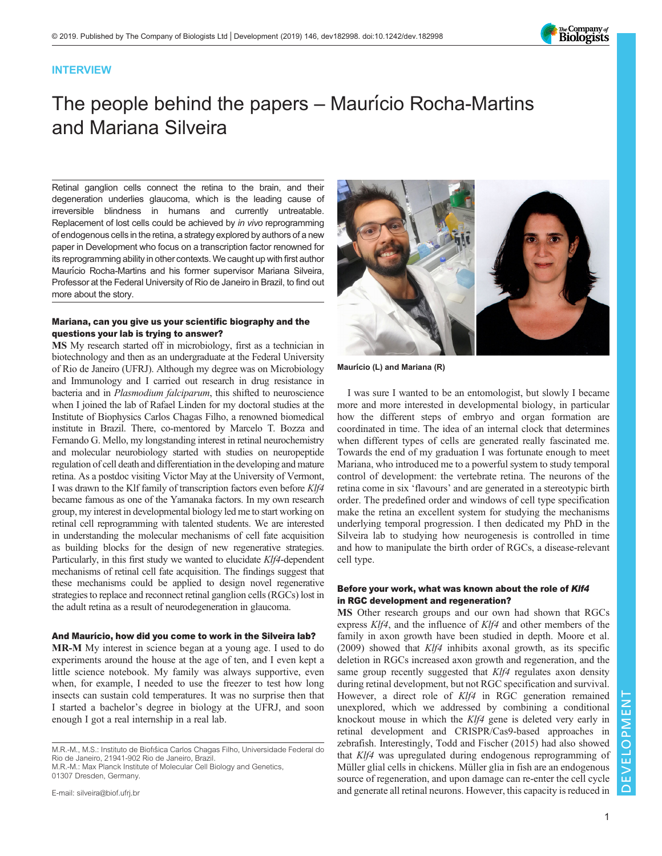

# INTERVIEW

# The people behind the papers – Maurício Rocha-Martins and Mariana Silveira

Retinal ganglion cells connect the retina to the brain, and their degeneration underlies glaucoma, which is the leading cause of irreversible blindness in humans and currently untreatable. Replacement of lost cells could be achieved by in vivo reprogramming of endogenous cells in the retina, a strategy explored by authors of [a new](https://dev.biologists.org/content/146/16/DEV176586) [paper in Development](https://dev.biologists.org/content/146/16/DEV176586) who focus on a transcription factor renowned for its reprogramming ability in other contexts. We caught up with first author Maurício Rocha-Martins and his former supervisor Mariana Silveira, Professor at the Federal University of Rio de Janeiro in Brazil, to find out more about the story.

## Mariana, can you give us your scientific biography and the questions your lab is trying to answer?

MS My research started off in microbiology, first as a technician in biotechnology and then as an undergraduate at the Federal University of Rio de Janeiro (UFRJ). Although my degree was on Microbiology and Immunology and I carried out research in drug resistance in bacteria and in Plasmodium falciparum, this shifted to neuroscience when I joined the lab of Rafael Linden for my doctoral studies at the Institute of Biophysics Carlos Chagas Filho, a renowned biomedical institute in Brazil. There, co-mentored by Marcelo T. Bozza and Fernando G. Mello, my longstanding interest in retinal neurochemistry and molecular neurobiology started with studies on neuropeptide regulation of cell death and differentiation in the developing and mature retina. As a postdoc visiting Victor May at the University of Vermont, I was drawn to the Klf family of transcription factors even before Klf4 became famous as one of the Yamanaka factors. In my own research group, my interest in developmental biology led me to start working on retinal cell reprogramming with talented students. We are interested in understanding the molecular mechanisms of cell fate acquisition as building blocks for the design of new regenerative strategies. Particularly, in this first study we wanted to elucidate Klf4-dependent mechanisms of retinal cell fate acquisition. The findings suggest that these mechanisms could be applied to design novel regenerative strategies to replace and reconnect retinal ganglion cells (RGCs) lost in the adult retina as a result of neurodegeneration in glaucoma.

#### And Maurício, how did you come to work in the Silveira lab?

MR-M My interest in science began at a young age. I used to do experiments around the house at the age of ten, and I even kept a little science notebook. My family was always supportive, even when, for example, I needed to use the freezer to test how long insects can sustain cold temperatures. It was no surprise then that I started a bachelor's degree in biology at the UFRJ, and soon enough I got a real internship in a real lab.

M.R.-M., M.S.: Instituto de Biofıśica Carlos Chagas Filho, Universidade Federal do Rio de Janeiro, 21941-902 Rio de Janeiro, Brazil.

M.R.-M.: Max Planck Institute of Molecular Cell Biology and Genetics, 01307 Dresden, Germany.



Maurício (L) and Mariana (R)

I was sure I wanted to be an entomologist, but slowly I became more and more interested in developmental biology, in particular how the different steps of embryo and organ formation are coordinated in time. The idea of an internal clock that determines when different types of cells are generated really fascinated me. Towards the end of my graduation I was fortunate enough to meet Mariana, who introduced me to a powerful system to study temporal control of development: the vertebrate retina. The neurons of the retina come in six 'flavours' and are generated in a stereotypic birth order. The predefined order and windows of cell type specification make the retina an excellent system for studying the mechanisms underlying temporal progression. I then dedicated my PhD in the Silveira lab to studying how neurogenesis is controlled in time and how to manipulate the birth order of RGCs, a disease-relevant cell type.

## Before your work, what was known about the role of Klf4 in RGC development and regeneration?

MS Other research groups and our own had shown that RGCs express Klf4, and the influence of Klf4 and other members of the family in axon growth have been studied in depth. [Moore et al.](#page-2-0) [\(2009\)](#page-2-0) showed that Klf4 inhibits axonal growth, as its specific deletion in RGCs increased axon growth and regeneration, and the same group recently suggested that Klf4 regulates axon density during retinal development, but not RGC specification and survival. However, a direct role of Klf4 in RGC generation remained unexplored, which we addressed by combining a conditional knockout mouse in which the Klf4 gene is deleted very early in retinal development and CRISPR/Cas9-based approaches in zebrafish. Interestingly, [Todd and Fischer \(2015\)](#page-2-0) had also showed that Klf4 was upregulated during endogenous reprogramming of Müller glial cells in chickens. Müller glia in fish are an endogenous source of regeneration, and upon damage can re-enter the cell cycle and generate all retinal neurons. However, this capacity is reduced in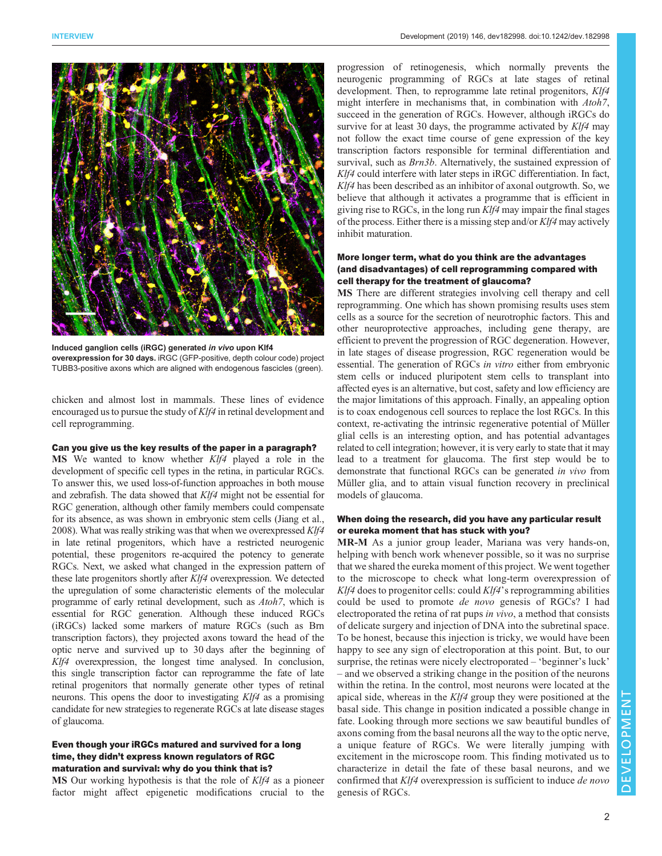

Induced ganglion cells (iRGC) generated in vivo upon Klf4 overexpression for 30 days. iRGC (GFP-positive, depth colour code) project TUBB3-positive axons which are aligned with endogenous fascicles (green).

chicken and almost lost in mammals. These lines of evidence encouraged us to pursue the study of Klf4 in retinal development and cell reprogramming.

#### Can you give us the key results of the paper in a paragraph?

MS We wanted to know whether Klf4 played a role in the development of specific cell types in the retina, in particular RGCs. To answer this, we used loss-of-function approaches in both mouse and zebrafish. The data showed that Klf4 might not be essential for RGC generation, although other family members could compensate for its absence, as was shown in embryonic stem cells [\(Jiang et al.,](#page-2-0) [2008\)](#page-2-0). What was really striking was that when we overexpressed Klf4 in late retinal progenitors, which have a restricted neurogenic potential, these progenitors re-acquired the potency to generate RGCs. Next, we asked what changed in the expression pattern of these late progenitors shortly after Klf4 overexpression. We detected the upregulation of some characteristic elements of the molecular programme of early retinal development, such as Atoh7, which is essential for RGC generation. Although these induced RGCs (iRGCs) lacked some markers of mature RGCs (such as Brn transcription factors), they projected axons toward the head of the optic nerve and survived up to 30 days after the beginning of Klf4 overexpression, the longest time analysed. In conclusion, this single transcription factor can reprogramme the fate of late retinal progenitors that normally generate other types of retinal neurons. This opens the door to investigating Klf4 as a promising candidate for new strategies to regenerate RGCs at late disease stages of glaucoma.

#### Even though your iRGCs matured and survived for a long time, they didn't express known regulators of RGC maturation and survival: why do you think that is?

MS Our working hypothesis is that the role of Klf4 as a pioneer factor might affect epigenetic modifications crucial to the

progression of retinogenesis, which normally prevents the neurogenic programming of RGCs at late stages of retinal development. Then, to reprogramme late retinal progenitors,  $Klf4$ might interfere in mechanisms that, in combination with Atoh7, succeed in the generation of RGCs. However, although iRGCs do survive for at least 30 days, the programme activated by  $Klf4$  may not follow the exact time course of gene expression of the key transcription factors responsible for terminal differentiation and survival, such as *Brn3b*. Alternatively, the sustained expression of Klf4 could interfere with later steps in iRGC differentiation. In fact, Klf4 has been described as an inhibitor of axonal outgrowth. So, we believe that although it activates a programme that is efficient in giving rise to RGCs, in the long run  $Klf4$  may impair the final stages of the process. Either there is a missing step and/or Klf4 may actively inhibit maturation.

## More longer term, what do you think are the advantages (and disadvantages) of cell reprogramming compared with cell therapy for the treatment of glaucoma?

MS There are different strategies involving cell therapy and cell reprogramming. One which has shown promising results uses stem cells as a source for the secretion of neurotrophic factors. This and other neuroprotective approaches, including gene therapy, are efficient to prevent the progression of RGC degeneration. However, in late stages of disease progression, RGC regeneration would be essential. The generation of RGCs in vitro either from embryonic stem cells or induced pluripotent stem cells to transplant into affected eyes is an alternative, but cost, safety and low efficiency are the major limitations of this approach. Finally, an appealing option is to coax endogenous cell sources to replace the lost RGCs. In this context, re-activating the intrinsic regenerative potential of Müller glial cells is an interesting option, and has potential advantages related to cell integration; however, it is very early to state that it may lead to a treatment for glaucoma. The first step would be to demonstrate that functional RGCs can be generated in vivo from Müller glia, and to attain visual function recovery in preclinical models of glaucoma.

#### When doing the research, did you have any particular result or eureka moment that has stuck with you?

MR-M As a junior group leader, Mariana was very hands-on, helping with bench work whenever possible, so it was no surprise that we shared the eureka moment of this project. We went together to the microscope to check what long-term overexpression of  $Klf4$  does to progenitor cells: could  $Klf4$ 's reprogramming abilities could be used to promote de novo genesis of RGCs? I had electroporated the retina of rat pups in vivo, a method that consists of delicate surgery and injection of DNA into the subretinal space. To be honest, because this injection is tricky, we would have been happy to see any sign of electroporation at this point. But, to our surprise, the retinas were nicely electroporated – 'beginner's luck' – and we observed a striking change in the position of the neurons within the retina. In the control, most neurons were located at the apical side, whereas in the Klf4 group they were positioned at the basal side. This change in position indicated a possible change in fate. Looking through more sections we saw beautiful bundles of axons coming from the basal neurons all the way to the optic nerve, a unique feature of RGCs. We were literally jumping with excitement in the microscope room. This finding motivated us to characterize in detail the fate of these basal neurons, and we confirmed that Klf4 overexpression is sufficient to induce de novo genesis of RGCs.